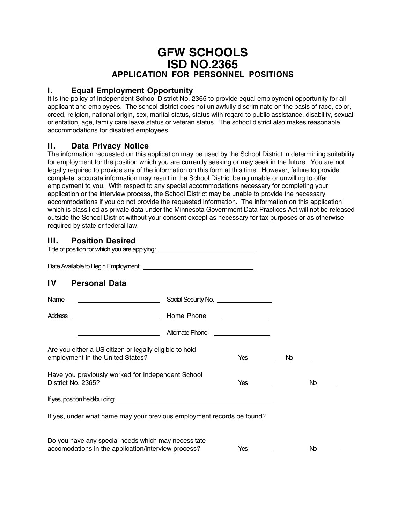# **GFW SCHOOLS ISD NO.2365 APPLICATION FOR PERSONNEL POSITIONS**

#### **I. Equal Employment Opportunity**

It is the policy of Independent School District No. 2365 to provide equal employment opportunity for all applicant and employees. The school district does not unlawfully discriminate on the basis of race, color, creed, religion, national origin, sex, marital status, status with regard to public assistance, disability, sexual orientation, age, family care leave status or veteran status. The school district also makes reasonable accommodations for disabled employees.

# **II. Data Privacy Notice**

The information requested on this application may be used by the School District in determining suitability for employment for the position which you are currently seeking or may seek in the future. You are not legally required to provide any of the information on this form at this time. However, failure to provide complete, accurate information may result in the School District being unable or unwilling to offer employment to you. With respect to any special accommodations necessary for completing your application or the interview process, the School District may be unable to provide the necessary accommodations if you do not provide the requested information. The information on this application which is classified as private data under the Minnesota Government Data Practices Act will not be released outside the School District without your consent except as necessary for tax purposes or as otherwise required by state or federal law.

# **III. Position Desired**

| Title of position for which you are applying: __________________________________            |                                    |                                                                                                                                                                                                                                |
|---------------------------------------------------------------------------------------------|------------------------------------|--------------------------------------------------------------------------------------------------------------------------------------------------------------------------------------------------------------------------------|
|                                                                                             |                                    |                                                                                                                                                                                                                                |
| $\mathbf{IV}$<br><b>Personal Data</b>                                                       |                                    |                                                                                                                                                                                                                                |
|                                                                                             |                                    |                                                                                                                                                                                                                                |
|                                                                                             |                                    |                                                                                                                                                                                                                                |
| <u> 1989 - Johann Barn, fransk politik amerikansk politik (</u>                             | Alternate Phone __________________ |                                                                                                                                                                                                                                |
| Are you either a US citizen or legally eligible to hold<br>employment in the United States? |                                    | No material control of the set of the set of the set of the set of the set of the set of the set of the set of the set of the set of the set of the set of the set of the set of the set of the set of the set of the set of t |
| Have you previously worked for Independent School<br>District No. 2365?                     |                                    | No.                                                                                                                                                                                                                            |
|                                                                                             |                                    |                                                                                                                                                                                                                                |
| If yes, under what name may your previous employment records be found?                      |                                    |                                                                                                                                                                                                                                |
| Do you have any special needs which may necessitate                                         |                                    |                                                                                                                                                                                                                                |
| accomodations in the application/interview process?                                         |                                    | No.                                                                                                                                                                                                                            |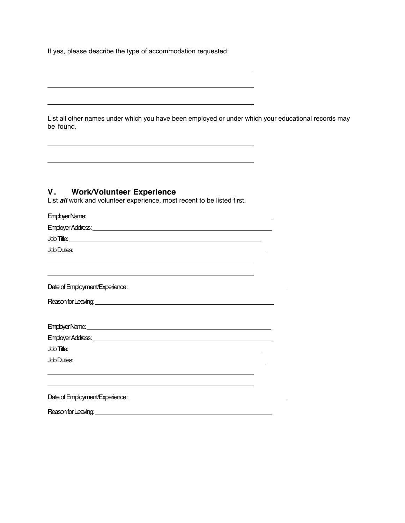If yes, please describe the type of accommodation requested:

List all other names under which you have been employed or under which your educational records may be found.

<u> 1989 - Johann Barn, fransk politik (f. 1989)</u>

the control of the control of the control of the control of the control of the control of the control of the control of the control of the control of the control of the control of the control of the control of the control

# **V. Work/Volunteer Experience**

 $\overline{a}$ 

 $\overline{a}$ 

List **all** work and volunteer experience, most recent to be listed first.

| <b>Job Duties: contract to the contract of the contract of the contract of the contract of the contract of the contract of the contract of the contract of the contract of the contract of the contract of the contract of the c</b> |  |
|--------------------------------------------------------------------------------------------------------------------------------------------------------------------------------------------------------------------------------------|--|
| <u> 1989 - Johann Stoff, deutscher Stoff, der Stoff, der Stoff, der Stoff, der Stoff, der Stoff, der Stoff, der S</u>                                                                                                                |  |
|                                                                                                                                                                                                                                      |  |
|                                                                                                                                                                                                                                      |  |
| EmployerName: continued and the continued of the continued of the continued of the continued of the continued of the continued of the continued of the continued of the continued of the continued of the continued of the con       |  |
|                                                                                                                                                                                                                                      |  |
|                                                                                                                                                                                                                                      |  |
|                                                                                                                                                                                                                                      |  |
|                                                                                                                                                                                                                                      |  |
|                                                                                                                                                                                                                                      |  |
|                                                                                                                                                                                                                                      |  |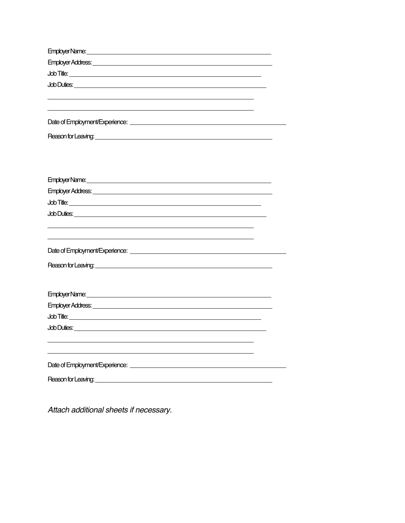| Employer Address: University of the Contract of the Contract of the Contract of the Contract of the Contract of the Contract of the Contract of the Contract of the Contract of the Contract of the Contract of the Contract o |
|--------------------------------------------------------------------------------------------------------------------------------------------------------------------------------------------------------------------------------|
|                                                                                                                                                                                                                                |
|                                                                                                                                                                                                                                |
|                                                                                                                                                                                                                                |
|                                                                                                                                                                                                                                |
|                                                                                                                                                                                                                                |
| Reason for Leaving: <u>contained a series and a series of the series of the series of the series of the series of</u>                                                                                                          |
|                                                                                                                                                                                                                                |
|                                                                                                                                                                                                                                |
|                                                                                                                                                                                                                                |
|                                                                                                                                                                                                                                |
|                                                                                                                                                                                                                                |
|                                                                                                                                                                                                                                |
|                                                                                                                                                                                                                                |
|                                                                                                                                                                                                                                |
|                                                                                                                                                                                                                                |
|                                                                                                                                                                                                                                |
|                                                                                                                                                                                                                                |
|                                                                                                                                                                                                                                |
|                                                                                                                                                                                                                                |
| Employer Name: contract the contract of the contract of the contract of the contract of the contract of the contract of the contract of the contract of the contract of the contract of the contract of the contract of the co |
|                                                                                                                                                                                                                                |
|                                                                                                                                                                                                                                |
|                                                                                                                                                                                                                                |
|                                                                                                                                                                                                                                |
|                                                                                                                                                                                                                                |
|                                                                                                                                                                                                                                |
|                                                                                                                                                                                                                                |
| Reason for Leaving: the contract of the contract of the contract of the contract of the contract of the contract of the contract of the contract of the contract of the contract of the contract of the contract of the contra |

Attach additional sheets if necessary.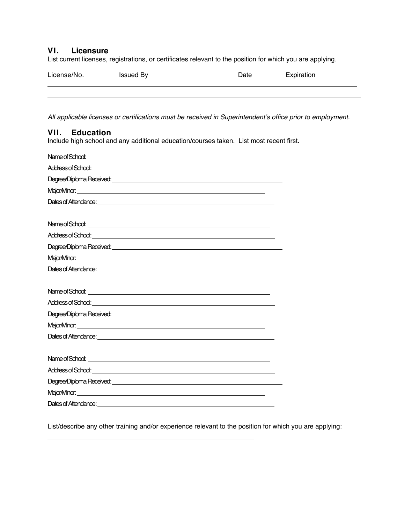#### **VI. Licensure**

List current licenses, registrations, or certificates relevant to the position for which you are applying.

| License/No. | <b>Issued By</b> | Date | <b>Expiration</b> |
|-------------|------------------|------|-------------------|
|             |                  |      |                   |

All applicable licenses or certifications must be received in Superintendent's office prior to employment.

# **VII. Education**

 $\overline{a}$ 

Include high school and any additional education/courses taken. List most recent first.

| Major/Minor: <u>Community of the Community of the Community of the Community of the Community of the Community of the Community of the Community of the Community of the Community of the Community of the Community of the Comm</u> |  |
|--------------------------------------------------------------------------------------------------------------------------------------------------------------------------------------------------------------------------------------|--|
|                                                                                                                                                                                                                                      |  |
|                                                                                                                                                                                                                                      |  |
|                                                                                                                                                                                                                                      |  |
|                                                                                                                                                                                                                                      |  |
|                                                                                                                                                                                                                                      |  |
|                                                                                                                                                                                                                                      |  |
|                                                                                                                                                                                                                                      |  |
|                                                                                                                                                                                                                                      |  |
|                                                                                                                                                                                                                                      |  |
|                                                                                                                                                                                                                                      |  |
|                                                                                                                                                                                                                                      |  |
|                                                                                                                                                                                                                                      |  |
|                                                                                                                                                                                                                                      |  |

List/describe any other training and/or experience relevant to the position for which you are applying: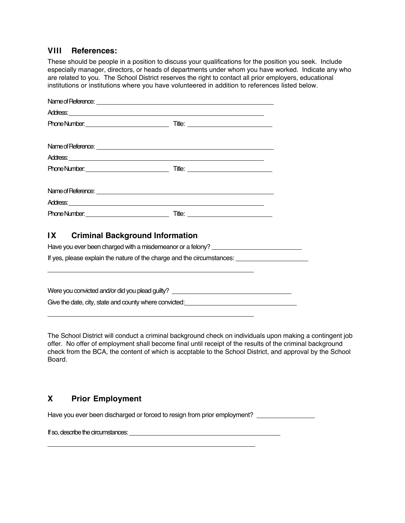#### **VIII References:**

These should be people in a position to discuss your qualifications for the position you seek. Include especially manager, directors, or heads of departments under whom you have worked. Indicate any who are related to you. The School District reserves the right to contact all prior employers, educational institutions or institutions where you have volunteered in addition to references listed below.

# **IX Criminal Background Information**

Have you ever been charged with a misdemeanor or a felony? \_\_\_\_\_\_\_\_\_\_\_\_\_\_\_\_\_\_\_\_\_\_ If yes, please explain the nature of the charge and the circumstances:

Were you convicted and/or did you plead guilty? \_\_\_\_\_\_\_\_\_\_\_\_\_\_\_\_\_\_\_\_\_\_\_\_\_\_\_\_\_\_\_\_ Give the date, city, state and county where convicted:<br>
Since the date, city, state and county where convicted:

The School District will conduct a criminal background check on individuals upon making a contingent job offer. No offer of employment shall become final until receipt of the results of the criminal background check from the BCA, the content of which is accptable to the School District, and approval by the School Board.

# **X Prior Employment**

 $\overline{a}$ 

 $\overline{a}$ 

 $\overline{a}$ 

Have you ever been discharged or forced to resign from prior employment?

If so, describe the circumstances: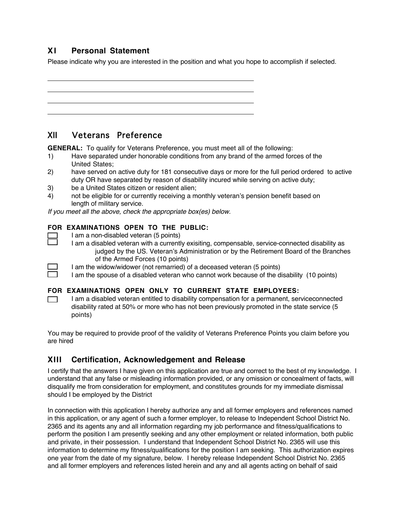# **XI Personal Statement**

 $\overline{a}$ 

 $\Box$ 

Please indicate why you are interested in the position and what you hope to accomplish if selected.

# XII Veterans Preference

**GENERAL:** To qualify for Veterans Preference, you must meet all of the following:

- 1) Have separated under honorable conditions from any brand of the armed forces of the United States;
- 2) have served on active duty for 181 consecutive days or more for the full period ordered to active duty OR have separated by reason of disability incured while serving on active duty;
- 3) be a United States citizen or resident alien;
- 4) not be eligible for or currently receiving a monthly veteran's pension benefit based on length of military service.

If you meet all the above, check the appropriate box(es) below.

#### **FOR EXAMINATIONS OPEN TO THE PUBLIC:**

- I am a non-disabled veteran (5 points)
	- I am a disabled veteran with a currently exisiting, compensable, service-connected disability as judged by the US. Veteran's Administration or by the Retirement Board of the Branches of the Armed Forces (10 points)
	- I am the widow/widower (not remarried) of a deceased veteran (5 points)

I am the spouse of a disabled veteran who cannot work because of the disability (10 points)

#### **FOR EXAMINATIONS OPEN ONLY TO CURRENT STATE EMPLOYEES:**

I am a disabled veteran entitled to disability compensation for a permanent, serviceconnected  $\Box$ disability rated at 50% or more who has not been previously promoted in the state service (5 points)

You may be required to provide proof of the validity of Veterans Preference Points you claim before you are hired

#### **XIII Certification, Acknowledgement and Release**

I certify that the answers I have given on this application are true and correct to the best of my knowledge. I understand that any false or misleading information provided, or any omission or concealment of facts, will disqualify me from consideration for employment, and constitutes grounds for my immediate dismissal should I be employed by the District

In connection with this application I hereby authorize any and all former employers and references named in this application, or any agent of such a former employer, to release to Independent School District No. 2365 and its agents any and all information regarding my job performance and fitness/qualifications to perform the position I am presently seeking and any other employment or related information, both public and private, in their possession. I understand that Independent School District No. 2365 will use this information to determine my fitness/qualifications for the position I am seeking. This authorization expires one year from the date of my signature, below. I hereby release Independent School District No. 2365 and all former employers and references listed herein and any and all agents acting on behalf of said